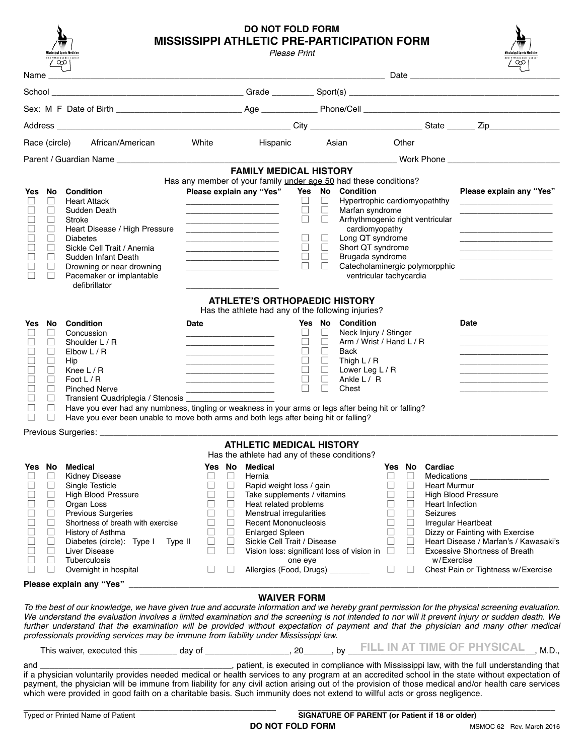| And Orthopaedic Center | Mississippi Sports Medicine |
|------------------------|-----------------------------|
|                        |                             |

## **DO NOT FOLD FORM MISSISSIPPI ATHLETIC PRE-PARTICIPATION FORM**

|                  | Mississippi Sports Medicine | And Orthopaedic Center<br>$\infty$                                                                                                                                                                                                                                                                                                                                                                                                                                                                                                  |                  |                  | Please Print                                                                                                                                                                                                                                                                         |                  |                          |                                                           |                  |                  |                                      | <b>Mississippi Sports Medicin</b><br>And Orthopaedic Center<br>$\infty$                              |  |
|------------------|-----------------------------|-------------------------------------------------------------------------------------------------------------------------------------------------------------------------------------------------------------------------------------------------------------------------------------------------------------------------------------------------------------------------------------------------------------------------------------------------------------------------------------------------------------------------------------|------------------|------------------|--------------------------------------------------------------------------------------------------------------------------------------------------------------------------------------------------------------------------------------------------------------------------------------|------------------|--------------------------|-----------------------------------------------------------|------------------|------------------|--------------------------------------|------------------------------------------------------------------------------------------------------|--|
| Name $\_$        |                             | <u>Date</u> and the contract of the contract of the contract of the contract of the contract of the contract of the contract of the contract of the contract of the contract of the contract of the contract of the contract of the                                                                                                                                                                                                                                                                                                 |                  |                  |                                                                                                                                                                                                                                                                                      |                  |                          |                                                           |                  |                  |                                      |                                                                                                      |  |
|                  |                             |                                                                                                                                                                                                                                                                                                                                                                                                                                                                                                                                     |                  |                  |                                                                                                                                                                                                                                                                                      |                  |                          |                                                           |                  |                  |                                      |                                                                                                      |  |
|                  |                             |                                                                                                                                                                                                                                                                                                                                                                                                                                                                                                                                     |                  |                  |                                                                                                                                                                                                                                                                                      |                  |                          |                                                           |                  |                  |                                      |                                                                                                      |  |
|                  |                             |                                                                                                                                                                                                                                                                                                                                                                                                                                                                                                                                     |                  |                  |                                                                                                                                                                                                                                                                                      |                  |                          |                                                           |                  |                  |                                      |                                                                                                      |  |
|                  |                             | Race (circle)<br>African/American                                                                                                                                                                                                                                                                                                                                                                                                                                                                                                   | White            |                  | Hispanic                                                                                                                                                                                                                                                                             |                  | Asian                    |                                                           |                  | Other            |                                      |                                                                                                      |  |
|                  |                             | Parent / Guardian Name <b>All According to the Contract of According to the Contract of According to the Contract of According to the Contract of According to the Contract of According to the Contract of According to the Con</b>                                                                                                                                                                                                                                                                                                |                  |                  |                                                                                                                                                                                                                                                                                      |                  |                          |                                                           |                  |                  |                                      |                                                                                                      |  |
|                  |                             |                                                                                                                                                                                                                                                                                                                                                                                                                                                                                                                                     |                  |                  | <b>FAMILY MEDICAL HISTORY</b>                                                                                                                                                                                                                                                        |                  |                          |                                                           |                  |                  |                                      |                                                                                                      |  |
| Yes No           |                             | <b>Condition</b>                                                                                                                                                                                                                                                                                                                                                                                                                                                                                                                    |                  |                  | Has any member of your family under age 50 had these conditions?<br>Please explain any "Yes"                                                                                                                                                                                         | Yes No           |                          | <b>Condition</b>                                          |                  |                  |                                      | Please explain any "Yes"                                                                             |  |
|                  | $\Box$                      | <b>Heart Attack</b>                                                                                                                                                                                                                                                                                                                                                                                                                                                                                                                 |                  |                  | the control of the control of the control of the control of the control of                                                                                                                                                                                                           | ⊔                | $\Box$                   | Hypertrophic cardiomyopaththy                             |                  |                  |                                      |                                                                                                      |  |
|                  | П<br>$\Box$                 | Sudden Death<br>Stroke                                                                                                                                                                                                                                                                                                                                                                                                                                                                                                              |                  |                  | the control of the control of the control of the control of the control of the control of<br>the control of the control of the control of the control of the control of the control of                                                                                               | $\Box$<br>$\Box$ | $\Box$<br>$\Box$         | Marfan syndrome<br>Arrhythmogenic right ventricular       |                  |                  |                                      |                                                                                                      |  |
|                  | $\Box$                      | Heart Disease / High Pressure                                                                                                                                                                                                                                                                                                                                                                                                                                                                                                       |                  |                  |                                                                                                                                                                                                                                                                                      |                  |                          | cardiomyopathy                                            |                  |                  |                                      |                                                                                                      |  |
| П                | $\Box$<br>П                 | <b>Diabetes</b><br>Sickle Cell Trait / Anemia                                                                                                                                                                                                                                                                                                                                                                                                                                                                                       |                  |                  | <u> 1989 - Johann John Harrison, martin basal (</u>                                                                                                                                                                                                                                  | $\Box$<br>$\Box$ | $\Box$<br>$\Box$         | Long QT syndrome<br>Short QT syndrome                     |                  |                  |                                      |                                                                                                      |  |
|                  | $\Box$                      | Sudden Infant Death                                                                                                                                                                                                                                                                                                                                                                                                                                                                                                                 |                  |                  | the control of the control of the control of<br><u> 1989 - Johann Harry Harry Harry Harry Harry Harry Harry Harry Harry Harry Harry Harry Harry Harry Harry Harry Harry Harry Harry Harry Harry Harry Harry Harry Harry Harry Harry Harry Harry Harry Harry Harry Harry Harry Ha</u> | $\Box$           | $\Box$                   | Brugada syndrome                                          |                  |                  |                                      |                                                                                                      |  |
|                  | $\perp$<br>$\Box$           | Drowning or near drowning<br>Pacemaker or implantable                                                                                                                                                                                                                                                                                                                                                                                                                                                                               |                  |                  |                                                                                                                                                                                                                                                                                      |                  | $\perp$                  | Catecholaminergic polymorpphic<br>ventricular tachycardia |                  |                  |                                      |                                                                                                      |  |
|                  |                             | defibrillator                                                                                                                                                                                                                                                                                                                                                                                                                                                                                                                       |                  |                  |                                                                                                                                                                                                                                                                                      |                  |                          |                                                           |                  |                  |                                      |                                                                                                      |  |
|                  |                             |                                                                                                                                                                                                                                                                                                                                                                                                                                                                                                                                     |                  |                  | <b>ATHLETE'S ORTHOPAEDIC HISTORY</b><br>Has the athlete had any of the following injuries?                                                                                                                                                                                           |                  |                          |                                                           |                  |                  |                                      |                                                                                                      |  |
| Yes              | No                          | <b>Condition</b>                                                                                                                                                                                                                                                                                                                                                                                                                                                                                                                    | <b>Date</b>      |                  |                                                                                                                                                                                                                                                                                      |                  |                          | Yes No Condition                                          |                  |                  |                                      | <b>Date</b>                                                                                          |  |
|                  | $\Box$<br>П                 | Concussion<br>Shoulder L / R                                                                                                                                                                                                                                                                                                                                                                                                                                                                                                        |                  |                  |                                                                                                                                                                                                                                                                                      | ⊔<br>$\Box$      | $\Box$<br>$\Box$         | Neck Injury / Stinger<br>Arm / Wrist / Hand L / R         |                  |                  |                                      |                                                                                                      |  |
|                  | $\Box$                      | Elbow $L/R$                                                                                                                                                                                                                                                                                                                                                                                                                                                                                                                         |                  |                  | <u> 1989 - Johann John Hermann, francuski filozof (</u><br>the control of the control of the control of the control of the control of the control of                                                                                                                                 | $\Box$           | $\perp$                  | Back                                                      |                  |                  |                                      |                                                                                                      |  |
|                  | ⊔<br>П                      | Hip                                                                                                                                                                                                                                                                                                                                                                                                                                                                                                                                 |                  |                  | the control of the control of the control of the control of the control of                                                                                                                                                                                                           | $\Box$<br>$\Box$ | $\Box$<br>$\mathcal{L}$  | Thigh $L/R$                                               |                  |                  |                                      |                                                                                                      |  |
|                  | П                           | Knee $L/R$<br>Foot $L/R$                                                                                                                                                                                                                                                                                                                                                                                                                                                                                                            |                  |                  |                                                                                                                                                                                                                                                                                      | $\Box$           | $\overline{\phantom{a}}$ | Lower Leg L / R<br>Ankle L / R                            |                  |                  |                                      |                                                                                                      |  |
|                  | $\Box$                      | <b>Pinched Nerve</b>                                                                                                                                                                                                                                                                                                                                                                                                                                                                                                                |                  |                  |                                                                                                                                                                                                                                                                                      | П                | $\Box$                   | Chest                                                     |                  |                  |                                      |                                                                                                      |  |
|                  | $\Box$<br>П                 | Transient Quadriplegia / Stenosis ________<br>Have you ever had any numbness, tingling or weakness in your arms or legs after being hit or falling?                                                                                                                                                                                                                                                                                                                                                                                 |                  |                  |                                                                                                                                                                                                                                                                                      |                  |                          |                                                           |                  |                  |                                      |                                                                                                      |  |
|                  | $\Box$                      | Have you ever been unable to move both arms and both legs after being hit or falling?                                                                                                                                                                                                                                                                                                                                                                                                                                               |                  |                  |                                                                                                                                                                                                                                                                                      |                  |                          |                                                           |                  |                  |                                      |                                                                                                      |  |
|                  |                             |                                                                                                                                                                                                                                                                                                                                                                                                                                                                                                                                     |                  |                  |                                                                                                                                                                                                                                                                                      |                  |                          |                                                           |                  |                  |                                      |                                                                                                      |  |
|                  |                             |                                                                                                                                                                                                                                                                                                                                                                                                                                                                                                                                     |                  |                  | <b>ATHLETIC MEDICAL HISTORY</b><br>Has the athlete had any of these conditions?                                                                                                                                                                                                      |                  |                          |                                                           |                  |                  |                                      |                                                                                                      |  |
|                  |                             | Yes No Medical                                                                                                                                                                                                                                                                                                                                                                                                                                                                                                                      |                  |                  | Yes No Medical                                                                                                                                                                                                                                                                       |                  |                          |                                                           |                  |                  | Yes No Cardiac                       |                                                                                                      |  |
|                  | $\sqcup$<br>$\Box$          | Kidney Disease<br>Single Testicle                                                                                                                                                                                                                                                                                                                                                                                                                                                                                                   | ⊔<br>$\Box$      | ⊔<br>$\Box$      | Hernia<br>Rapid weight loss / gain                                                                                                                                                                                                                                                   |                  |                          |                                                           |                  | ⊔<br>$\Box$      | Medications _<br><b>Heart Murmur</b> |                                                                                                      |  |
|                  | $\Box$                      | <b>High Blood Pressure</b>                                                                                                                                                                                                                                                                                                                                                                                                                                                                                                          | $\Box$           | $\Box$           | Take supplements / vitamins                                                                                                                                                                                                                                                          |                  |                          |                                                           | $\Box$           | $\Box$           |                                      | <b>High Blood Pressure</b>                                                                           |  |
|                  | $\Box$                      | Organ Loss                                                                                                                                                                                                                                                                                                                                                                                                                                                                                                                          | $\Box$           | $\Box$           | Heat related problems                                                                                                                                                                                                                                                                |                  |                          |                                                           | $\Box$           | $\Box$           | <b>Heart Infection</b>               |                                                                                                      |  |
| $\Box$<br>$\Box$ | $\Box$<br>$\Box$            | <b>Previous Surgeries</b><br>Shortness of breath with exercise                                                                                                                                                                                                                                                                                                                                                                                                                                                                      | $\Box$<br>$\Box$ | $\Box$<br>$\Box$ | Menstrual irregularities<br>Recent Mononucleosis                                                                                                                                                                                                                                     |                  |                          |                                                           | $\Box$<br>$\Box$ | $\Box$<br>$\Box$ | <b>Seizures</b>                      | <b>Irregular Heartbeat</b>                                                                           |  |
| $\Box$           | $\Box$                      | History of Asthma                                                                                                                                                                                                                                                                                                                                                                                                                                                                                                                   | $\Box$           | $\Box$           | <b>Enlarged Spleen</b>                                                                                                                                                                                                                                                               |                  |                          |                                                           | $\Box$           | $\Box$           |                                      | Dizzy or Fainting with Exercise                                                                      |  |
| $\Box$<br>$\Box$ | $\Box$<br>$\Box$            | Diabetes (circle): Type I Type II<br>Liver Disease                                                                                                                                                                                                                                                                                                                                                                                                                                                                                  | $\Box$<br>$\Box$ | $\Box$<br>$\Box$ | Sickle Cell Trait / Disease<br>Vision loss: significant loss of vision in $\Box$                                                                                                                                                                                                     |                  |                          |                                                           | $\Box$           | $\Box$<br>$\Box$ |                                      | Heart Disease / Marfan's / Kawasaki's<br><b>Excessive Shortness of Breath</b>                        |  |
| $\Box$           | $\Box$                      | <b>Tuberculosis</b>                                                                                                                                                                                                                                                                                                                                                                                                                                                                                                                 |                  |                  |                                                                                                                                                                                                                                                                                      | one eye          |                          |                                                           |                  |                  | w/Exercise                           |                                                                                                      |  |
| $\Box$           | $\Box$                      | Overnight in hospital                                                                                                                                                                                                                                                                                                                                                                                                                                                                                                               | $\Box$           | $\Box$           | Allergies (Food, Drugs) _________                                                                                                                                                                                                                                                    |                  |                          |                                                           |                  | ⊔                |                                      | Chest Pain or Tightness w/Exercise                                                                   |  |
|                  |                             | Please explain any "Yes" __________                                                                                                                                                                                                                                                                                                                                                                                                                                                                                                 |                  |                  |                                                                                                                                                                                                                                                                                      |                  |                          |                                                           |                  |                  |                                      |                                                                                                      |  |
|                  |                             | To the best of our knowledge, we have given true and accurate information and we hereby grant permission for the physical screening evaluation.<br>We understand the evaluation involves a limited examination and the screening is not intended to nor will it prevent injury or sudden death. We<br>further understand that the examination will be provided without expectation of payment and that the physician and many other medical<br>professionals providing services may be immune from liability under Mississippi law. |                  |                  | <b>WAIVER FORM</b>                                                                                                                                                                                                                                                                   |                  |                          |                                                           |                  |                  |                                      |                                                                                                      |  |
|                  |                             |                                                                                                                                                                                                                                                                                                                                                                                                                                                                                                                                     |                  |                  |                                                                                                                                                                                                                                                                                      |                  |                          |                                                           |                  |                  |                                      |                                                                                                      |  |
| and              |                             |                                                                                                                                                                                                                                                                                                                                                                                                                                                                                                                                     |                  |                  |                                                                                                                                                                                                                                                                                      |                  |                          |                                                           |                  |                  |                                      | patient, is executed in compliance with Mississippi law, with the full understanding that (included) |  |
|                  |                             | if a physician voluntarily provides needed medical or health services to any program at an accredited school in the state without expectation of<br>payment, the physician will be immune from liability for any civil action arising out of the provision of those medical and/or health care services<br>which were provided in good faith on a charitable basis. Such immunity does not extend to willful acts or gross negligence.                                                                                              |                  |                  |                                                                                                                                                                                                                                                                                      |                  |                          |                                                           |                  |                  |                                      |                                                                                                      |  |